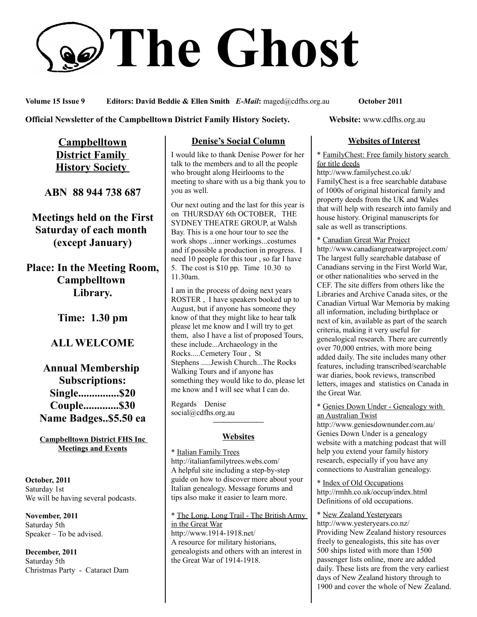# **The Ghost**

**Volume 15 Issue 9 Editors: David Beddie & Ellen Smith** *E-Mail***:** maged@cdfhs.org.au **October 2011**

**Official Newsletter of the Campbelltown District Family History Society. Website: www.cdfhs.org.au** 

**Campbelltown District Family History Society** 

**ABN 88 944 738 687**

**Meetings held on the First Saturday of each month (except January)**

**Place: In the Meeting Room, Campbelltown Library.**

**Time: 1.30 pm**

# **ALL WELCOME**

**Annual Membership Subscriptions: Single...............\$20 Couple.............\$30 Name Badges..\$5.50 ea**

**Campbelltown District FHS Inc Meetings and Events**

**October, 2011** Saturday 1st We will be having several podcasts.

**November, 2011** Saturday 5th Speaker – To be advised.

**December, 2011** Saturday 5th Christmas Party - Cataract Dam

## **Denise's Social Column**

I would like to thank Denise Power for her talk to the members and to all the people who brought along Heirlooms to the meeting to share with us a big thank you to you as well.

Our next outing and the last for this year is on THURSDAY 6th OCTOBER, THE SYDNEY THEATRE GROUP, at Walsh Bay. This is a one hour tour to see the work shops ...inner workings...costumes and if possible a production in progress. I need 10 people for this tour , so far I have 5. The cost is \$10 pp. Time 10.30 to 11.30am.

I am in the process of doing next years ROSTER , I have speakers booked up to August, but if anyone has someone they know of that they might like to hear talk please let me know and I will try to get them, also I have a list of proposed Tours, these include...Archaeology in the Rocks.....Cemetery Tour , St Stephens .....Jewish Church...The Rocks Walking Tours and if anyone has something they would like to do, please let me know and I will see what I can do.

Regards Denise social@cdfhs.org.au

# **——————– Websites**

\* Italian Family Trees http://italianfamilytrees.webs.com/ A helpful site including a step-by-step guide on how to discover more about your Italian genealogy. Message forums and tips also make it easier to learn more.

\* The Long, Long Trail - The British Army in the Great War http://www.1914-1918.net/ A resource for military historians, genealogists and others with an interest in the Great War of 1914-1918.

#### **Websites of Interest**

\* FamilyChest: Free family history search for title deeds

http://www.familychest.co.uk/ FamilyChest is a free searchable database of 1000s of original historical family and property deeds from the UK and Wales that will help with research into family and house history. Original manuscripts for sale as well as transcriptions.

\* Canadian Great War Project http://www.canadiangreatwarproject.com/ The largest fully searchable database of Canadians serving in the First World War, or other nationalities who served in the CEF. The site differs from others like the Libraries and Archive Canada sites, or the Canadian Virtual War Memoria by making all information, including birthplace or next of kin, available as part of the search criteria, making it very useful for genealogical research. There are currently over 70,000 entries, with more being added daily. The site includes many other features, including transcribed/searchable war diaries, book reviews, transcribed letters, images and statistics on Canada in the Great War.

\* Genies Down Under - Genealogy with an Australian Twist

http://www.geniesdownunder.com.au/ Genies Down Under is a genealogy website with a matching podcast that will help you extend your family history research, especially if you have any connections to Australian genealogy.

\* Index of Old Occupations http://rmhh.co.uk/occup/index.html Definitions of old occupations.

\* New Zealand Yesteryears http://www.yesteryears.co.nz/ Providing New Zealand history resources freely to genealogists, this site has over 500 ships listed with more than 1500 passenger lists online, more are added daily. These lists are from the very earliest days of New Zealand history through to 1900 and cover the whole of New Zealand.